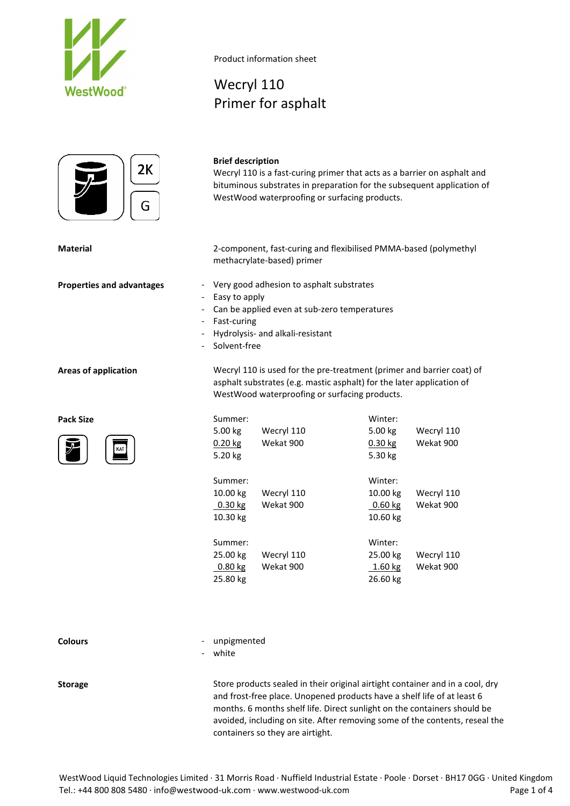



### **Brief description**

Wecryl 110

Product information sheet

Primer for asphalt

Wecryl 110 is a fast-curing primer that acts as a barrier on asphalt and bituminous substrates in preparation for the subsequent application of WestWood waterproofing or surfacing products.

**Material** 2-component, fast-curing and flexibilised PMMA-based (polymethyl methacrylate-based) primer

- **Properties and advantages** Very good adhesion to asphalt substrates
	- Easy to apply
	- Can be applied even at sub-zero temperatures
	- Fast-curing
	- Hydrolysis- and alkali-resistant
	- Solvent-free



**Areas of application** Wecryl 110 is used for the pre-treatment (primer and barrier coat) of asphalt substrates (e.g. mastic asphalt) for the later application of WestWood waterproofing or surfacing products.

| Pack Size            | Summer:   |            | Winter:   |            |  |  |  |  |
|----------------------|-----------|------------|-----------|------------|--|--|--|--|
|                      | 5.00 kg   | Wecryl 110 | 5.00 kg   | Wecryl 110 |  |  |  |  |
| $\mathcal{F}$<br>KAT | 0.20 kg   | Wekat 900  | 0.30 kg   | Wekat 900  |  |  |  |  |
|                      | 5.20 kg   |            | 5.30 kg   |            |  |  |  |  |
|                      | Summer:   |            | Winter:   |            |  |  |  |  |
|                      | 10.00 kg  | Wecryl 110 | 10.00 kg  | Wecryl 110 |  |  |  |  |
|                      | $0.30$ kg | Wekat 900  | $0.60$ kg | Wekat 900  |  |  |  |  |
|                      | 10.30 kg  |            | 10.60 kg  |            |  |  |  |  |
|                      | Summer:   |            | Winter:   |            |  |  |  |  |
|                      | 25.00 kg  | Wecryl 110 | 25.00 kg  | Wecryl 110 |  |  |  |  |
|                      | $0.80$ kg | Wekat 900  | 1.60 kg   | Wekat 900  |  |  |  |  |
|                      | 25.80 kg  |            | 26.60 kg  |            |  |  |  |  |
|                      |           |            |           |            |  |  |  |  |

**Colours** - unpigmented

white

**Storage** Store products sealed in their original airtight container and in a cool, dry and frost-free place. Unopened products have a shelf life of at least 6 months. 6 months shelf life. Direct sunlight on the containers should be avoided, including on site. After removing some of the contents, reseal the containers so they are airtight.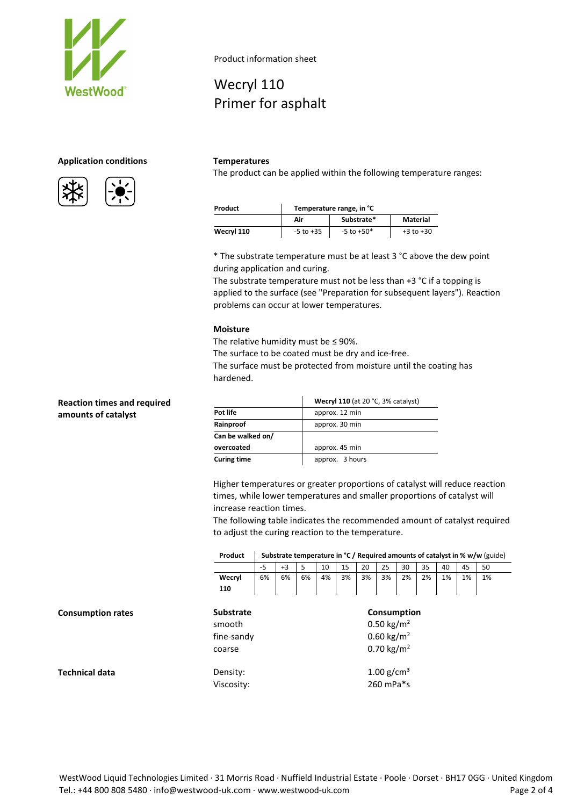



## **Application conditions Temperatures**

Wecryl 110

Product information sheet

Primer for asphalt

The product can be applied within the following temperature ranges:

| Product    | Temperature range, in °C |                |               |  |  |  |
|------------|--------------------------|----------------|---------------|--|--|--|
|            | Air                      | Substrate*     | Material      |  |  |  |
| Wecryl 110 | $-5$ to $+35$            | $-5$ to $+50*$ | $+3$ to $+30$ |  |  |  |

\* The substrate temperature must be at least 3 °C above the dew point during application and curing.

The substrate temperature must not be less than +3 °C if a topping is applied to the surface (see "Preparation for subsequent layers"). Reaction problems can occur at lower temperatures.

### **Moisture**

The relative humidity must be  $\leq$  90%.

The surface to be coated must be dry and ice-free.

The surface must be protected from moisture until the coating has hardened.

|                    | Wecryl 110 (at 20 °C, 3% catalyst) |  |  |  |  |
|--------------------|------------------------------------|--|--|--|--|
| Pot life           | approx. 12 min                     |  |  |  |  |
| Rainproof          | approx. 30 min                     |  |  |  |  |
| Can be walked on/  |                                    |  |  |  |  |
| overcoated         | approx. 45 min                     |  |  |  |  |
| <b>Curing time</b> | approx. 3 hours                    |  |  |  |  |

Higher temperatures or greater proportions of catalyst will reduce reaction times, while lower temperatures and smaller proportions of catalyst will increase reaction times.

The following table indicates the recommended amount of catalyst required to adjust the curing reaction to the temperature.

|                          | Product                                            | Substrate temperature in °C / Required amounts of catalyst in % w/w (guide) |      |    |    |    |    |                                                                            |             |    |    |    |    |  |
|--------------------------|----------------------------------------------------|-----------------------------------------------------------------------------|------|----|----|----|----|----------------------------------------------------------------------------|-------------|----|----|----|----|--|
|                          |                                                    | $-5$                                                                        | $+3$ | 5  | 10 | 15 | 20 | 25                                                                         | 30          | 35 | 40 | 45 | 50 |  |
|                          | Wecryl                                             | 6%                                                                          | 6%   | 6% | 4% | 3% | 3% | 3%                                                                         | 2%          | 2% | 1% | 1% | 1% |  |
|                          | 110                                                |                                                                             |      |    |    |    |    |                                                                            |             |    |    |    |    |  |
| <b>Consumption rates</b> | <b>Substrate</b><br>smooth<br>fine-sandy<br>coarse |                                                                             |      |    |    |    |    | 0.50 kg/m <sup>2</sup><br>0.60 kg/m <sup>2</sup><br>0.70 kg/m <sup>2</sup> | Consumption |    |    |    |    |  |
| Technical data           | Density:<br>Viscosity:                             |                                                                             |      |    |    |    |    | 1.00 $g/cm^{3}$<br>260 mPa*s                                               |             |    |    |    |    |  |

## **Reaction times and required amounts of catalyst**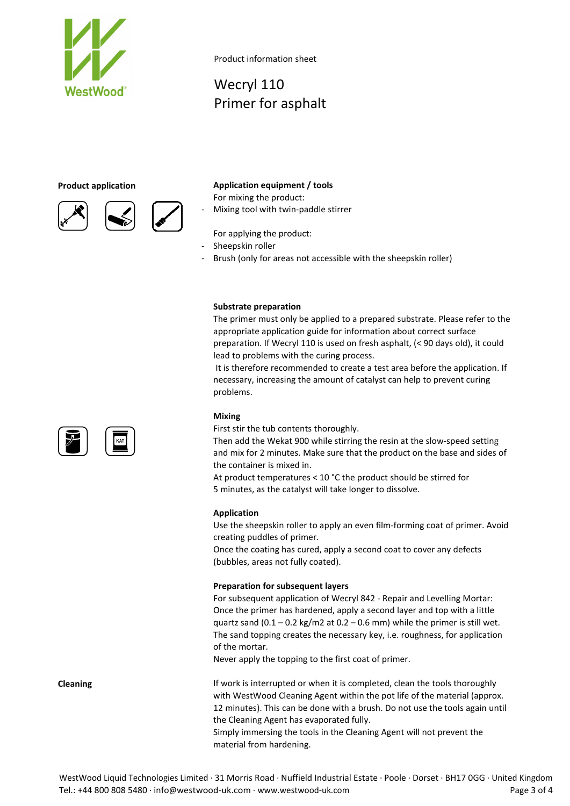

Product information sheet

# Wecryl 110 Primer for asphalt





### **Product application Application equipment / tools**

For mixing the product:

Mixing tool with twin-paddle stirrer

For applying the product:

- Sheepskin roller
- Brush (only for areas not accessible with the sheepskin roller)

### **Substrate preparation**

The primer must only be applied to a prepared substrate. Please refer to the appropriate application guide for information about correct surface preparation. If Wecryl 110 is used on fresh asphalt, (< 90 days old), it could lead to problems with the curing process.

It is therefore recommended to create a test area before the application. If necessary, increasing the amount of catalyst can help to prevent curing problems.

### **Mixing**

First stir the tub contents thoroughly.

Then add the Wekat 900 while stirring the resin at the slow-speed setting and mix for 2 minutes. Make sure that the product on the base and sides of the container is mixed in.

At product temperatures < 10 °C the product should be stirred for 5 minutes, as the catalyst will take longer to dissolve.

### **Application**

Use the sheepskin roller to apply an even film-forming coat of primer. Avoid creating puddles of primer.

Once the coating has cured, apply a second coat to cover any defects (bubbles, areas not fully coated).

### **Preparation for subsequent layers**

For subsequent application of Wecryl 842 - Repair and Levelling Mortar: Once the primer has hardened, apply a second layer and top with a little quartz sand  $(0.1 - 0.2 \text{ kg/m2 at } 0.2 - 0.6 \text{ mm})$  while the primer is still wet. The sand topping creates the necessary key, i.e. roughness, for application of the mortar.

Never apply the topping to the first coat of primer.

**Cleaning If work is interrupted or when it is completed, clean the tools thoroughly** with WestWood Cleaning Agent within the pot life of the material (approx. 12 minutes). This can be done with a brush. Do not use the tools again until the Cleaning Agent has evaporated fully. Simply immersing the tools in the Cleaning Agent will not prevent the material from hardening.